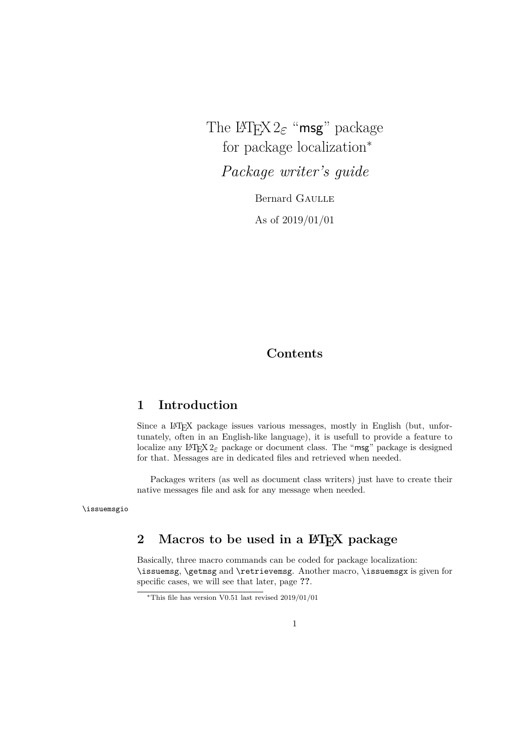The LATEX 2*ε* "msg" package for package localization<sup>∗</sup>

*Package writer's guide*

Bernard Gaulle As of 2019/01/01

## **Contents**

## **1 Introduction**

Since a LATEX package issues various messages, mostly in English (but, unfortunately, often in an English-like language), it is usefull to provide a feature to localize any LATEX  $2\epsilon$  package or document class. The "msg" package is designed for that. Messages are in dedicated files and retrieved when needed.

Packages writers (as well as document class writers) just have to create their native messages file and ask for any message when needed.

\issuemsgio

## 2 Macros to be used in a  $\text{MTEX}$  package

Basically, three macro commands can be coded for package localization: \issuemsg, \getmsg and \retrievemsg. Another macro, \issuemsgx is given for specific cases, we will see that later, page **??**.

<sup>∗</sup>This file has version V0.51 last revised 2019/01/01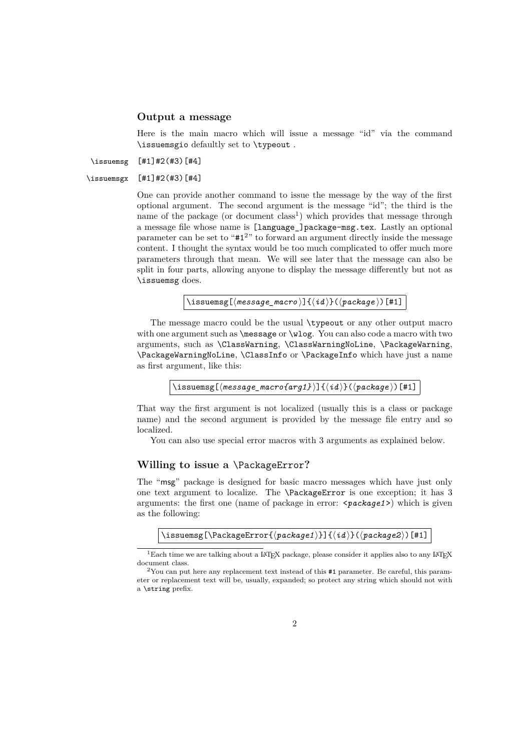#### **Output a message**

Here is the main macro which will issue a message "id" via the command \issuemsgio defaultly set to \typeout .

\issuemsg [#1]#2(#3)[#4]

```
\issuemsgx [#1]#2(#3)[#4]
```
One can provide another command to issue the message by the way of the first optional argument. The second argument is the message "id"; the third is the name of the package (or document  $class<sup>1</sup>$ ) which provides that message through a message file whose name is [language\_]package-msg.tex. Lastly an optional parameter can be set to "#1<sup>2</sup>" to forward an argument directly inside the message content. I thought the syntax would be too much complicated to offer much more parameters through that mean. We will see later that the message can also be split in four parts, allowing anyone to display the message differently but not as \issuemsg does.

 $\langle\text{inessauge}(\text{message\_macro})\right]\{ \langle id \rangle\}(\text{package})\$  [#1]

The message macro could be the usual \typeout or any other output macro with one argument such as  $\mathcal{S}$  or  $\ulcorner$  You can also code a macro with two arguments, such as \ClassWarning, \ClassWarningNoLine, \PackageWarning, \PackageWarningNoLine, \ClassInfo or \PackageInfo which have just a name as first argument, like this:

```
\langle \text{iness}[(\text{message\_macro}\{arg1\})](\langle id \rangle)(\langle package \rangle)[\text{#1}].
```
That way the first argument is not localized (usually this is a class or package name) and the second argument is provided by the message file entry and so localized.

You can also use special error macros with 3 arguments as explained below.

### **Willing to issue a** \PackageError**?**

The "msg" package is designed for basic macro messages which have just only one text argument to localize. The \PackageError is one exception; it has 3 arguments: the first one (name of package in error: <*package1*>) which is given as the following:

```
\issuemsg[\PackageError{\langlepackage1}}]{\langleid}}(\langlepackage2})[#1]
```
 $1$ Each time we are talking about a LATEX package, please consider it applies also to any LATEX document class.

 $2^2$ You can put here any replacement text instead of this  $#1$  parameter. Be careful, this parameter or replacement text will be, usually, expanded; so protect any string which should not with a \string prefix.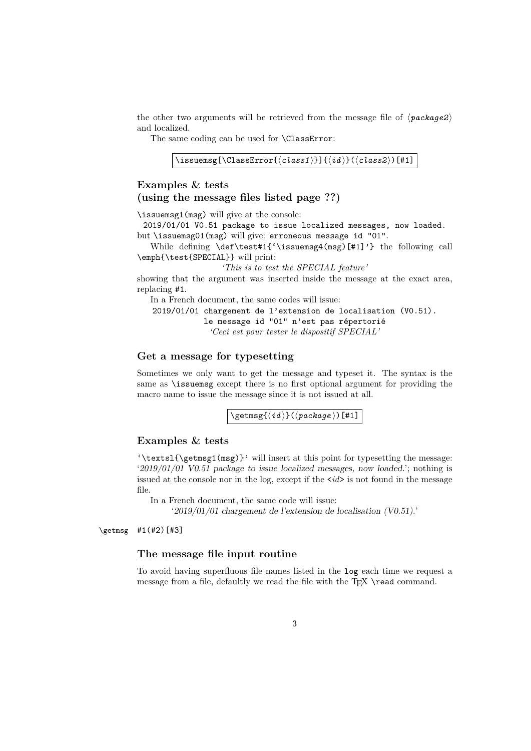the other two arguments will be retrieved from the message file of  $\langle package2 \rangle$ and localized.

The same coding can be used for **\ClassError**:

```
\issuemsg[\ClassError{\langle class1\rangle}]{\langle id \rangle}(\langle class2\rangle)[#1]
```
### **Examples & tests (using the message files listed page ??)**

\issuemsg1(msg) will give at the console:

2019/01/01 V0.51 package to issue localized messages, now loaded. but \issuemsg01(msg) will give: erroneous message id "01".

While defining \def\test#1{'\issuemsg4(msg)[#1]'} the following call \emph{\test{SPECIAL}} will print:

*'This is to test the SPECIAL feature'*

showing that the argument was inserted inside the message at the exact area, replacing #1.

In a French document, the same codes will issue:

2019/01/01 chargement de l'extension de localisation (V0.51). le message id "01" n'est pas répertorié *'Ceci est pour tester le dispositif SPECIAL'*

### **Get a message for typesetting**

Sometimes we only want to get the message and typeset it. The syntax is the same as \issuemsg except there is no first optional argument for providing the macro name to issue the message since it is not issued at all.

 $\sqrt{\text{getmsg}(\langle id \rangle)(\langle package \rangle)}$ [#1]

### **Examples & tests**

 $\text{!}\$  ( $\text{!}\$ )}' will insert at this point for typesetting the message: '2019/01/01 V0.51 package to issue localized messages, now loaded.'; nothing is issued at the console nor in the log, except if the  $\langle id \rangle$  is not found in the message file.

In a French document, the same code will issue:

'2019/01/01 chargement de l'extension de localisation (V0.51).'

\getmsg #1(#2)[#3]

### **The message file input routine**

To avoid having superfluous file names listed in the log each time we request a message from a file, defaultly we read the file with the  $T_F X \ \text{c}$  command.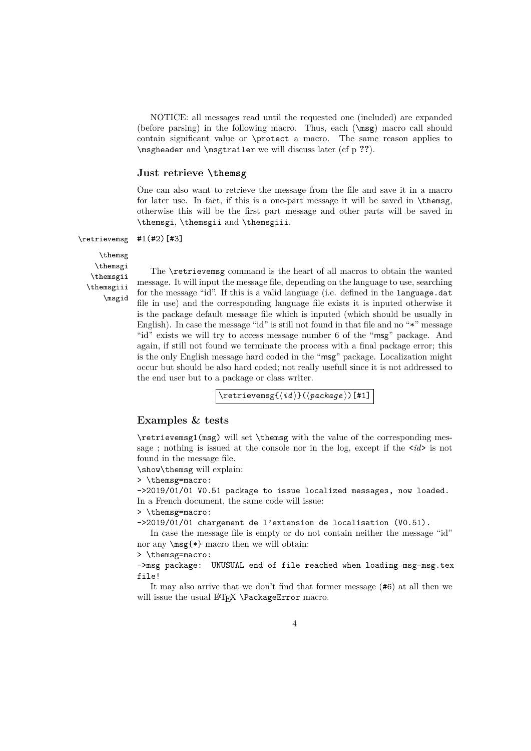NOTICE: all messages read until the requested one (included) are expanded (before parsing) in the following macro. Thus, each (\msg) macro call should contain significant value or \protect a macro. The same reason applies to \msgheader and \msgtrailer we will discuss later (cf p **??**).

#### **Just retrieve \themsg**

One can also want to retrieve the message from the file and save it in a macro for later use. In fact, if this is a one-part message it will be saved in \themsg, otherwise this will be the first part message and other parts will be saved in \themsgi, \themsgii and \themsgiii.

\retrievemsg #1(#2)[#3]

\themsg \themsgi \themsgii \themsgiii \msgid

The \retrievemsg command is the heart of all macros to obtain the wanted message. It will input the message file, depending on the language to use, searching for the message "id". If this is a valid language (i.e. defined in the language.dat file in use) and the corresponding language file exists it is inputed otherwise it is the package default message file which is inputed (which should be usually in English). In case the message "id" is still not found in that file and no "\*" message "id" exists we will try to access message number 6 of the "msg" package. And again, if still not found we terminate the process with a final package error; this is the only English message hard coded in the "msg" package. Localization might occur but should be also hard coded; not really usefull since it is not addressed to the end user but to a package or class writer.

 $\text{retrive}(\{id\}(\{package\})[#1])$ 

### **Examples & tests**

\retrievemsg1(msg) will set \themsg with the value of the corresponding message ; nothing is issued at the console nor in the log, except if the <*id*> is not found in the message file.

\show\themsg will explain:

> \themsg=macro:

->2019/01/01 V0.51 package to issue localized messages, now loaded. In a French document, the same code will issue:

> \themsg=macro:

->2019/01/01 chargement de l'extension de localisation (V0.51).

In case the message file is empty or do not contain neither the message "id" nor any  $\n\begin{align*}\n \text{arg}(*) \text{ macro then we will obtain:}\n \end{align*}$ 

> \themsg=macro:

->msg package: UNUSUAL end of file reached when loading msg-msg.tex file!

It may also arrive that we don't find that former message (#6) at all then we will issue the usual LATEX \PackageError macro.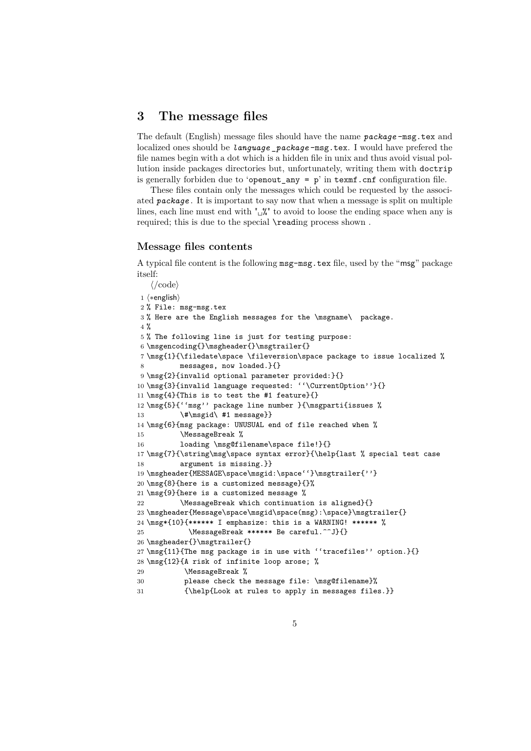### **3 The message files**

The default (English) message files should have the name *package* -msg.tex and localized ones should be *language* \_*package* -msg.tex. I would have prefered the file names begin with a dot which is a hidden file in unix and thus avoid visual pollution inside packages directories but, unfortunately, writing them with doctrip is generally forbiden due to 'openout\_any =  $p'$  in texmf.cnf configuration file.

These files contain only the messages which could be requested by the associated *package* . It is important to say now that when a message is split on multiple lines, each line must end with " $\frac{N}{2}$ " to avoid to loose the ending space when any is required; this is due to the special **\reading process shown**.

#### **Message files contents**

A typical file content is the following msg-msg.tex file, used by the "msg" package itself:

```
\langle \prime \text{code} \rangle1 \langle *english\rangle2 % File: msg-msg.tex
3 % Here are the English messages for the \msgname\ package.
4 %
5 % The following line is just for testing purpose:
6 \msgencoding{}\msgheader{}\msgtrailer{}
7 \msg{1}{\filedate\space \fileversion\space package to issue localized %
8 messages, now loaded.}{}
9 \msg{2}{invalid optional parameter provided:}{}
10 \msg{3}{invalid language requested: ''\CurrentOption''}{}
11 \msg{4}{This is to test the #1 feature}{}
12 \msg{5}{''msg'' package line number }{\msgparti{issues %
13 \#\msgid\ #1 message}}
14 \msg{6}{msg package: UNUSUAL end of file reached when %
15 \MessageBreak %
16 loading \msg@filename\space file!}{}
17 \msg{7}{\string\msg\space syntax error}{\help{last % special test case
18 argument is missing.}}
19 \msgheader{MESSAGE\space\msgid:\space''}\msgtrailer{''}
20 \msg{8}{here is a customized message}{}%
21 \msg{9}{here is a customized message %
22 \MessageBreak which continuation is aligned}{}
23 \msgheader{Message\space\msgid\space(msg):\space}\msgtrailer{}
24 \msg*{10}{****** I emphasize: this is a WARNING! ****** %
25 \MessageBreak ****** Be careful.^^J}{}
26 \msgheader{}\msgtrailer{}
27 \msg{11}{The msg package is in use with ''tracefiles'' option.}{}
28 \msg{12}{A risk of infinite loop arose; %
29 \MessageBreak %
30 please check the message file: \msg@filename}%
31 {\help{Look at rules to apply in messages files.}}
```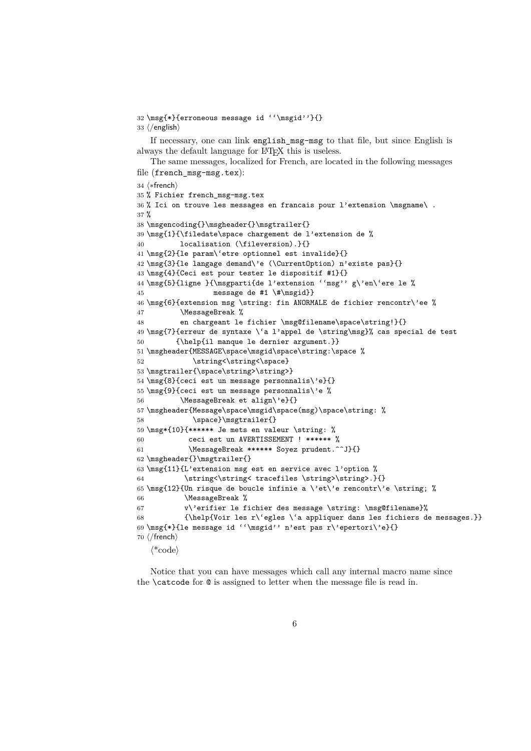```
32 \msg{*}{erroneous message id ''\msgid''}{}
33 \langle/english)
```
If necessary, one can link english msg-msg to that file, but since English is always the default language for LATEX this is useless.

The same messages, localized for French, are located in the following messages file (french\_msg-msg.tex):

```
34 (*french)
35 % Fichier french_msg-msg.tex
36 % Ici on trouve les messages en francais pour l'extension \msgname\ .
37 %
38 \msgencoding{}\msgheader{}\msgtrailer{}
39 \msg{1}{\filedate\space chargement de l'extension de %
40 localisation (\fileversion).}{}
41 \msg{2}{le param\'etre optionnel est invalide}{}
42 \msg{3}{le langage demand\'e (\CurrentOption) n'existe pas}{}
43 \msg{4}{Ceci est pour tester le dispositif #1}{}
44 \msg{5}{ligne }{\msgparti{de l'extension ''msg'' g\'en\'ere le %
45 message de #1 \#\msgid}}
46 \msg{6}{extension msg \string: fin ANORMALE de fichier rencontr\'ee %
47 \MessageBreak %
48 en chargeant le fichier \msg@filename\space\string!}{}
49 \msg{7}{erreur de syntaxe \'a l'appel de \string\msg}% cas special de test
50 {\help{il manque le dernier argument.}}
51 \msgheader{MESSAGE\space\msgid\space\string:\space %
52 \string<\string<\space}
53 \msgtrailer{\space\string>\string>}
54 \msg{8}{ceci est un message personnalis\'e}{}
55 \msg{9}{ceci est un message personnalis\'e %
56 \MessageBreak et align\'e}{}
```

```
57 \msgheader{Message\space\msgid\space(msg)\space\string: %
```
63 \msg{11}{L'extension msg est en service avec l'option % 64 \string<\string< tracefiles \string>\string>.}{}

58 \space}\msgtrailer{}

62 \msgheader{}\msgtrailer{}

66 \MessageBreak %

59 \msg\*{10}{\*\*\*\*\*\* Je mets en valeur \string: % 60 ceci est un AVERTISSEMENT ! \*\*\*\*\*\* % 61 \MessageBreak \*\*\*\*\*\* Soyez prudent.^^J}{}

70  $\langle$ /french $\rangle$  $\langle$ \*code $\rangle$ 

Notice that you can have messages which call any internal macro name since the \catcode for @ is assigned to letter when the message file is read in.

68 {\help{Voir les r\'egles \'a appliquer dans les fichiers de messages.}}

65 \msg{12}{Un risque de boucle infinie a \'et\'e rencontr\'e \string; %

67 v\'erifier le fichier des message \string: \msg@filename}%

69 \msg{\*}{le message id ''\msgid'' n'est pas r\'epertori\'e}{}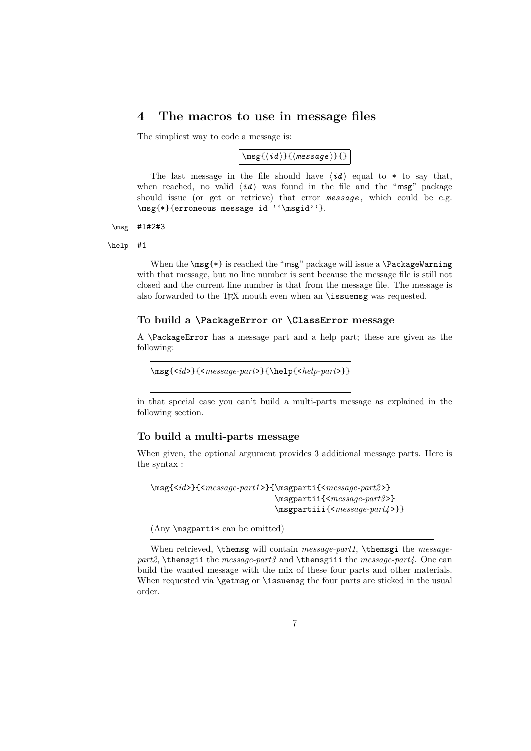### **4 The macros to use in message files**

The simpliest way to code a message is:

 $\{\mid \mathbf{h}\right\}$ 

The last message in the file should have  $\langle id \rangle$  equal to  $*$  to say that, when reached, no valid  $\langle id \rangle$  was found in the file and the "msg" package should issue (or get or retrieve) that error *message* , which could be e.g. \msg{\*}{erroneous message id ''\msgid''}.

#### \msg #1#2#3

#### \help #1

When the \msg{\*} is reached the "msg" package will issue a \PackageWarning with that message, but no line number is sent because the message file is still not closed and the current line number is that from the message file. The message is also forwarded to the T<sub>E</sub>X mouth even when an **\issuemsg** was requested.

#### **To build a \PackageError or \ClassError message**

A \PackageError has a message part and a help part; these are given as the following:

```
\msg{<id>}{<message-part>}{\help{<help-part>}}
```
in that special case you can't build a multi-parts message as explained in the following section.

### **To build a multi-parts message**

When given, the optional argument provides 3 additional message parts. Here is the syntax :

\msg{<*id*>}{<*message-part1* >}{\msgparti{<*message-part2* >} \msgpartii{<*message-part3* >} \msgpartiii{<*message-part4* >}}

(Any \msgparti\* can be omitted)

When retrieved, \themsg will contain *message-part1*, \themsgi the *messagepart2*, \themsgii the *message-part3* and \themsgiii the *message-part4*. One can build the wanted message with the mix of these four parts and other materials. When requested via \getmsg or \issuemsg the four parts are sticked in the usual order.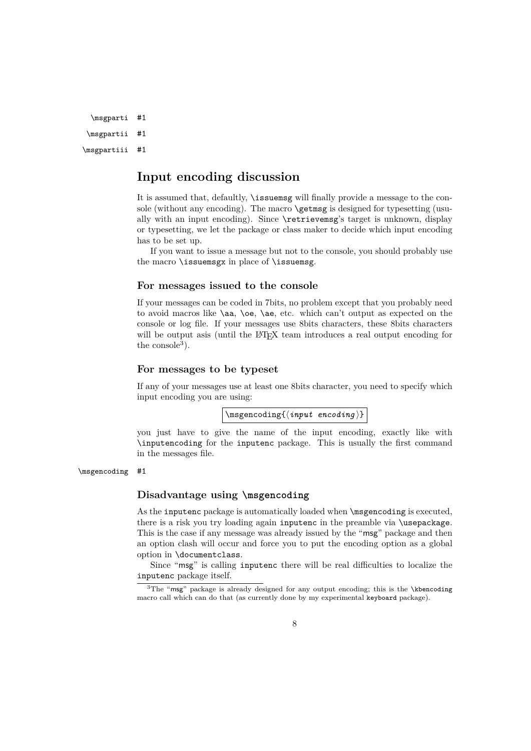\msgparti #1

\msgpartii #1

\msgpartiii #1

## **Input encoding discussion**

It is assumed that, defaultly, \issuemsg will finally provide a message to the console (without any encoding). The macro **\getmsg** is designed for typesetting (usually with an input encoding). Since \retrievemsg's target is unknown, display or typesetting, we let the package or class maker to decide which input encoding has to be set up.

If you want to issue a message but not to the console, you should probably use the macro \issuemsgx in place of \issuemsg.

#### **For messages issued to the console**

If your messages can be coded in 7bits, no problem except that you probably need to avoid macros like \aa, \oe, \ae, etc. which can't output as expected on the console or log file. If your messages use 8bits characters, these 8bits characters will be output asis (until the LAT<sub>EX</sub> team introduces a real output encoding for the  $\rm{console}^3$ ).

### **For messages to be typeset**

If any of your messages use at least one 8bits character, you need to specify which input encoding you are using:

 $\langle \text{implement}(\text{input encoding})\rangle$ 

you just have to give the name of the input encoding, exactly like with \inputencoding for the inputenc package. This is usually the first command in the messages file.

\msgencoding #1

### **Disadvantage using \msgencoding**

As the inputenc package is automatically loaded when \msgencoding is executed, there is a risk you try loading again inputenc in the preamble via \usepackage. This is the case if any message was already issued by the "msg" package and then an option clash will occur and force you to put the encoding option as a global option in \documentclass.

Since "msg" is calling inputenc there will be real difficulties to localize the inputenc package itself.

 $3$ The "msg" package is already designed for any output encoding; this is the \kbencoding macro call which can do that (as currently done by my experimental keyboard package).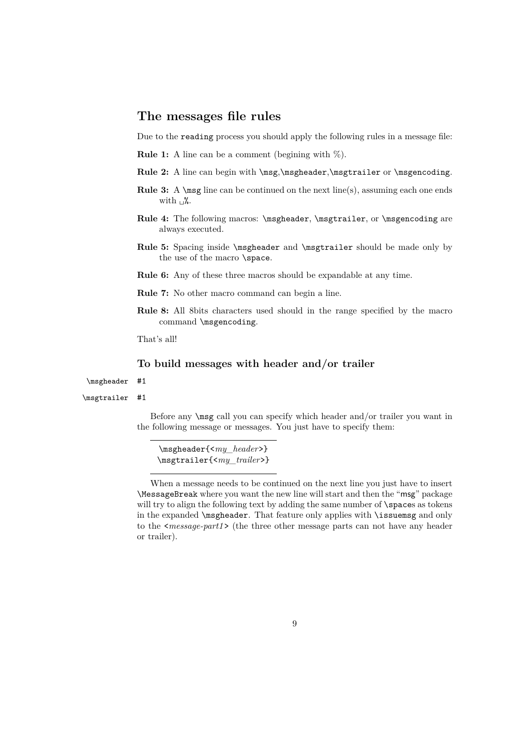## **The messages file rules**

Due to the reading process you should apply the following rules in a message file:

**Rule 1:** A line can be a comment (begining with %).

- Rule 2: A line can begin with \msg,\msgheader,\msgtrailer or \msgencoding.
- Rule 3: A \msg line can be continued on the next line(s), assuming each one ends with  $\mathcal{L}$ .
- Rule 4: The following macros: \msgheader, \msgtrailer, or \msgencoding are always executed.
- **Rule 5:** Spacing inside \msgheader and \msgtrailer should be made only by the use of the macro \space.
- **Rule 6:** Any of these three macros should be expandable at any time.
- **Rule 7:** No other macro command can begin a line.
- **Rule 8:** All 8bits characters used should in the range specified by the macro command \msgencoding.

That's all!

### **To build messages with header and/or trailer**

\msgheader #1

#### \msgtrailer #1

Before any \msg call you can specify which header and/or trailer you want in the following message or messages. You just have to specify them:

\msgheader{<*my\_header*>} \msgtrailer{<*my\_trailer*>}

When a message needs to be continued on the next line you just have to insert \MessageBreak where you want the new line will start and then the "msg" package will try to align the following text by adding the same number of **\spaces** as tokens in the expanded \msgheader. That feature only applies with \issuemsg and only to the <*message-part1* > (the three other message parts can not have any header or trailer).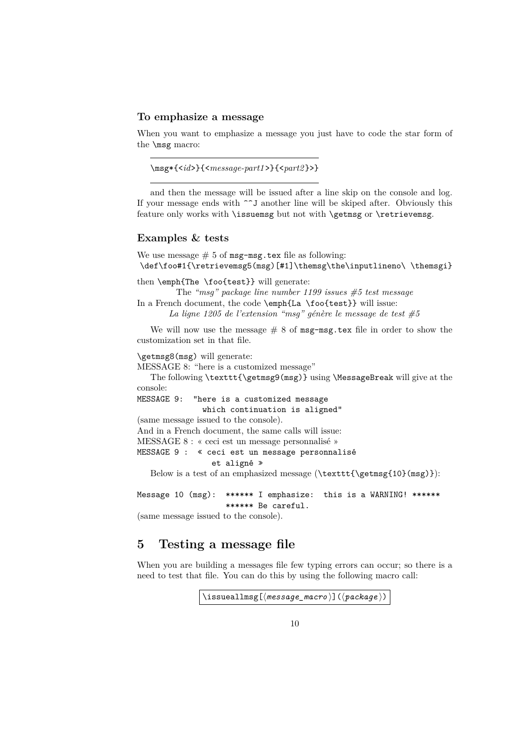#### **To emphasize a message**

When you want to emphasize a message you just have to code the star form of the \msg macro:

```
\msg*{<id>}{<message-part1 >}{<part2 }>}
```
and then the message will be issued after a line skip on the console and log. If your message ends with  $\hat{\phantom{a}}$  another line will be skiped after. Obviously this feature only works with **\issuemsg** but not with **\getmsg** or **\retrievemsg**.

### **Examples & tests**

We use message  $# 5$  of msg-msg.tex file as following: \def\foo#1{\retrievemsg5(msg)[#1]\themsg\the\inputlineno\ \themsgi}

```
then \emph{The \foo{test}} will generate:
```
The *"msg" package line number 1199 issues #5 test message* In a French document, the code \emph{La \foo{test}} will issue:

*La ligne 1205 de l'extension "msg" génère le message de test #5*

We will now use the message  $# 8$  of msg-msg.tex file in order to show the customization set in that file.

```
\getmsg8(msg) will generate:
```
MESSAGE 8: "here is a customized message"

The following \texttt{\getmsg9(msg)} using \MessageBreak will give at the console:

MESSAGE 9: "here is a customized message

which continuation is aligned"

(same message issued to the console).

And in a French document, the same calls will issue:

```
MESSAGE 8 : « ceci est un message personnalisé »
```
MESSAGE 9 : « ceci est un message personnalisé

### et aligné »

Below is a test of an emphasized message  $(\text{text}_{\getmsg{10}(msg))$ :

Message 10 (msg): \*\*\*\*\*\* I emphasize: this is a WARNING! \*\*\*\*\*\* \*\*\*\*\*\* Be careful.

(same message issued to the console).

## **5 Testing a message file**

When you are building a messages file few typing errors can occur; so there is a need to test that file. You can do this by using the following macro call:

```
\langleissueallmsg[\langlemessage_macro\rangle](\langlepackage})
```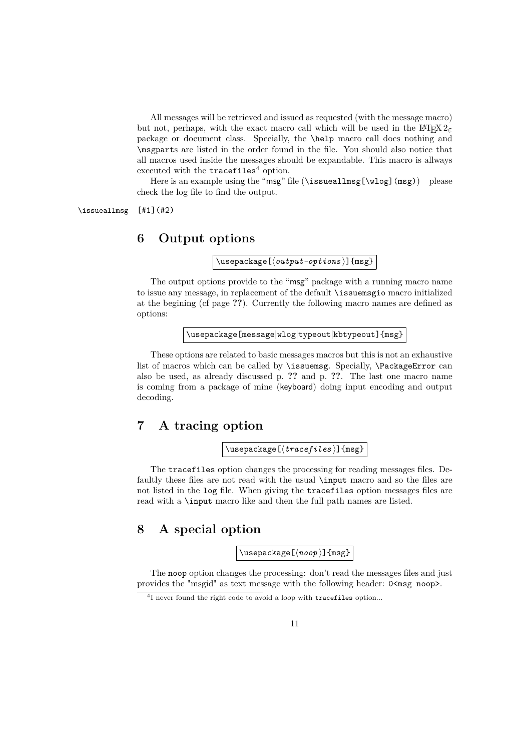All messages will be retrieved and issued as requested (with the message macro) but not, perhaps, with the exact macro call which will be used in the L<sup>AT</sup>EX  $2\varepsilon$ package or document class. Specially, the \help macro call does nothing and \msgparts are listed in the order found in the file. You should also notice that all macros used inside the messages should be expandable. This macro is allways executed with the  $tracefiles<sup>4</sup> option.$ 

Here is an example using the "msg" file (\issueallmsg[\wlog](msg)) please check the log file to find the output.

\issueallmsg [#1](#2)

### **6 Output options**

 $\{\text{usage}[\langle output-options \rangle]\}_{\text{msg}}$ 

The output options provide to the "msg" package with a running macro name to issue any message, in replacement of the default \issuemsgio macro initialized at the begining (cf page **??**). Currently the following macro names are defined as options:

\usepackage[message|wlog|typeout|kbtypeout]{msg}

These options are related to basic messages macros but this is not an exhaustive list of macros which can be called by \issuemsg. Specially, \PackageError can also be used, as already discussed p. **??** and p. **??**. The last one macro name is coming from a package of mine (keyboard) doing input encoding and output decoding.

## **7 A tracing option**

 $\{\text{usage}(\text{tracefiles})\}$ 

The tracefiles option changes the processing for reading messages files. Defaultly these files are not read with the usual \input macro and so the files are not listed in the log file. When giving the tracefiles option messages files are read with a \input macro like and then the full path names are listed.

## **8 A special option**

 $\{\n use package  $\left[\n \langle \n noop \rangle\right] \{msg\}$$ 

The noop option changes the processing: don't read the messages files and just provides the "msgid" as text message with the following header:  $0 \leq m$ sg noop>.

<sup>&</sup>lt;sup>4</sup>I never found the right code to avoid a loop with tracefiles option...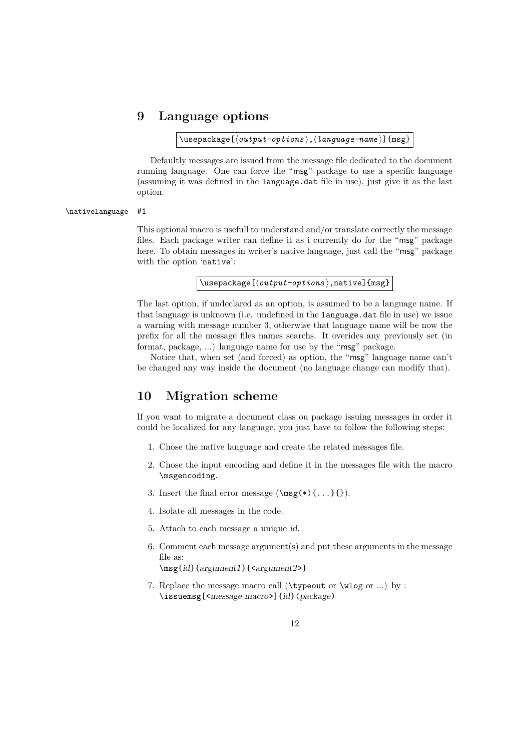## **9 Language options**

\usepackage[ $\langle output-optims \rangle$ , $\langle language-name \rangle$ ]{msg}

Defaultly messages are issued from the message file dedicated to the document running language. One can force the "msg" package to use a specific language (assuming it was defined in the language.dat file in use), just give it as the last option.

#### \nativelanguage #1

This optional macro is usefull to understand and/or translate correctly the message files. Each package writer can define it as i currently do for the "msg" package here. To obtain messages in writer's native language, just call the "msg" package with the option 'native':

\usepackage[ $\langle output-options \rangle$ ,native]{msg}

The last option, if undeclared as an option, is assumed to be a language name. If that language is unknown (i.e. undefined in the language.dat file in use) we issue a warning with message number 3, otherwise that language name will be now the prefix for all the message files names searchs. It overides any previously set (in format, package, ...) language name for use by the "msg" package.

Notice that, when set (and forced) as option, the "msg" language name can't be changed any way inside the document (no language change can modify that).

### **10 Migration scheme**

If you want to migrate a document class ou package issuing messages in order it could be localized for any language, you just have to follow the following steps:

- 1. Chose the native language and create the related messages file.
- 2. Chose the input encoding and define it in the messages file with the macro \msgencoding.
- 3. Insert the final error message  $(\text{msg}(*)\{... \}$ .
- 4. Isolate all messages in the code.
- 5. Attach to each message a unique id.
- 6. Comment each message argument(s) and put these arguments in the message file as:

\msg{id}{argument1}{<argument2>}

7. Replace the message macro call (\typeout or \wlog or ...) by : \issuemsg[<message macro>]{id}(package)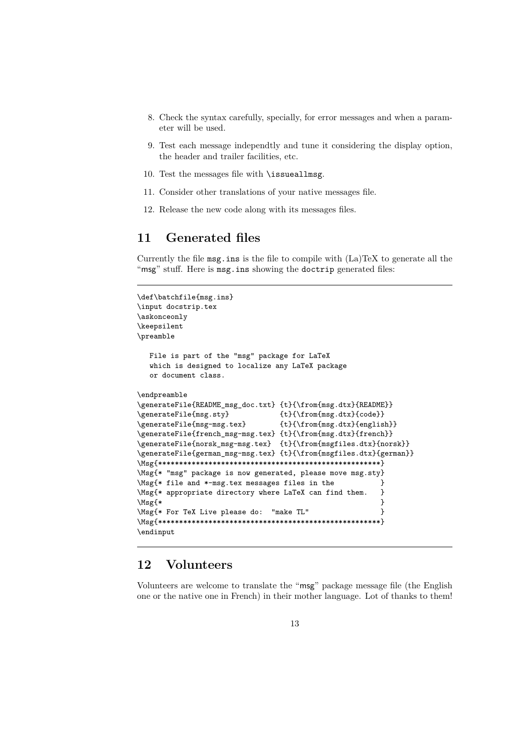- 8. Check the syntax carefully, specially, for error messages and when a parameter will be used.
- 9. Test each message independtly and tune it considering the display option, the header and trailer facilities, etc.
- 10. Test the messages file with \issueallmsg.
- 11. Consider other translations of your native messages file.
- 12. Release the new code along with its messages files.

## **11 Generated files**

Currently the file msg.ins is the file to compile with (La)TeX to generate all the "msg" stuff. Here is msg.ins showing the doctrip generated files:

```
\def\batchfile{msg.ins}
\input docstrip.tex
\askonceonly
\keepsilent
\preamble
  File is part of the "msg" package for LaTeX
  which is designed to localize any LaTeX package
  or document class.
\endpreamble
\generateFile{README_msg_doc.txt} {t}{\from{msg.dtx}{README}}
\generateFile{msg.sty} {t}{\from{msg.dtx}{code}}\generateFile{msg-msg.tex} {t}{\from{msg.dtx}{english}}
\generateFile{french_msg-msg.tex} {t}{\from{msg.dtx}{french}}
\generateFile{norsk_msg-msg.tex} {t}{\from{msgfiles.dtx}{norsk}}
\generateFile{german_msg-msg.tex} {t}{\from{msgfiles.dtx}{german}}
\Msg{*****************************************************}
\Msg{* "msg" package is now generated, please move msg.sty}
\Msg{* file and *-msg.tex messages files in the }
\Msg{* appropriate directory where LaTeX can find them. }
\text{Msg}\{\ast\}\Msg{* For TeX Live please do: "make TL" }
\Msg{*****************************************************}
\endinput
```
## **12 Volunteers**

Volunteers are welcome to translate the "msg" package message file (the English one or the native one in French) in their mother language. Lot of thanks to them!